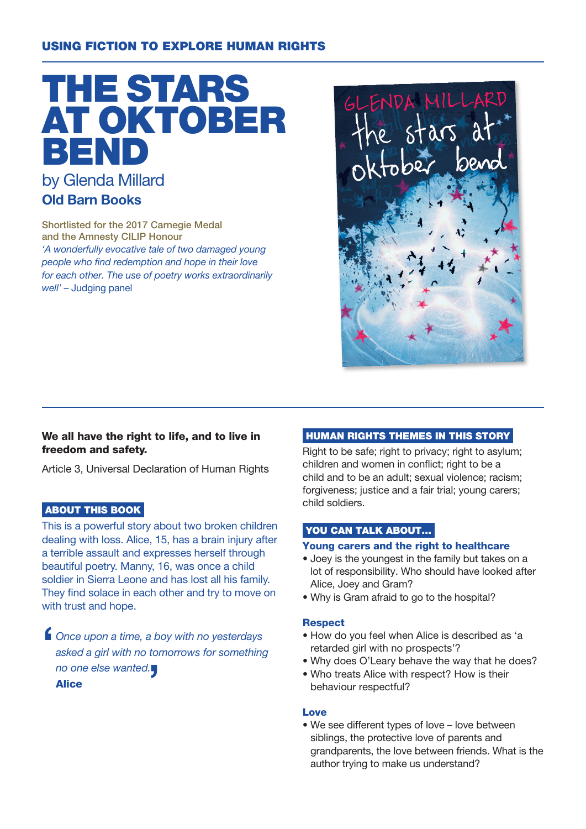# USING FICTION TO EXPLORE HUMAN RIGHTS



Shortlisted for the 2017 Carnegie Medal and the Amnesty CILIP Honour 'A wonderfully evocative tale of two damaged young people who find redemption and hope in their love for each other. The use of poetry works extraordinarily well' – Judging panel



### We all have the right to life, and to live in freedom and safety.

Article 3, Universal Declaration of Human Rights

## ABOUT THIS BOOK

This is a powerful story about two broken children dealing with loss. Alice, 15, has a brain injury after a terrible assault and expresses herself through beautiful poetry. Manny, 16, was once a child soldier in Sierra Leone and has lost all his family. They find solace in each other and try to move on with trust and hope.

 $\blacksquare$ Once upon a time, a boy with no yesterdays asked a girl with no tomorrows for something no one else wanted. **Alice** 

## HUMAN RIGHTS THEMES IN THIS STORY

Right to be safe; right to privacy; right to asylum; children and women in conflict; right to be a child and to be an adult; sexual violence; racism; forgiveness; justice and a fair trial; young carers; child soldiers.

#### YOU CAN TALK ABOUT...

#### Young carers and the right to healthcare

- Joey is the youngest in the family but takes on a lot of responsibility. Who should have looked after Alice, Joey and Gram?
- Why is Gram afraid to go to the hospital?

#### **Respect**

- How do you feel when Alice is described as 'a retarded girl with no prospects'?
- Why does O'Leary behave the way that he does?
- Who treats Alice with respect? How is their behaviour respectful?

#### Love

• We see different types of love – love between siblings, the protective love of parents and grandparents, the love between friends. What is the author trying to make us understand?